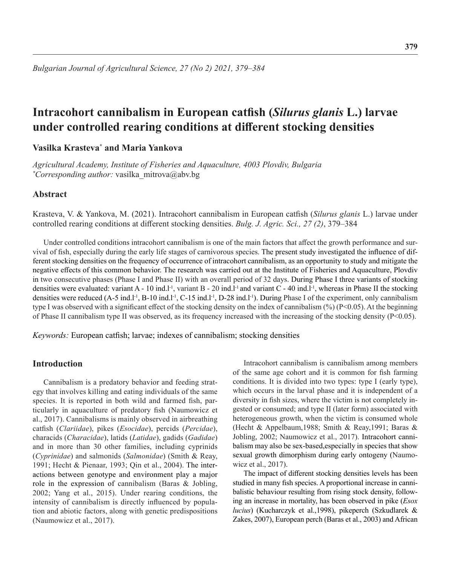# **Intracohort cannibalism in European catfish (***Silurus glanis* **L.) larvae under controlled rearing conditions at different stocking densities**

# **Vasilka Krasteva\* and Maria Yankova**

*Agricultural Academy, Institute of Fisheries and Aquaculture, 4003 Plovdiv, Bulgaria \* Corresponding author:* vasilka\_mitrova@abv.bg

## **Abstract**

Krasteva, V. & Yankova, M. (2021). Intracohort cannibalism in European catfish (*Silurus glanis* L.) larvae under controlled rearing conditions at different stocking densities. *Bulg. J. Agric. Sci., 27 (2)*, 379–384

Under controlled conditions intracohort cannibalism is one of the main factors that affect the growth performance and survival of fish, especially during the early life stages of carnivorous species. The present study investigated the influence of different stocking densities on the frequency of occurrence of intracohort cannibalism, as an opportunity to study and mitigate the negative effects of this common behavior. The research was carried out at the Institute of Fisheries and Aquaculture, Plovdiv in two consecutive phases (Phase I and Phase II) with an overall period of 32 days. During Phase I three variants of stocking densities were evaluated: variant A - 10 ind.l<sup>-1</sup>, variant B - 20 ind.l<sup>-1</sup> and variant C - 40 ind.l<sup>-1</sup>, whereas in Phase II the stocking densities were reduced (A-5 ind.l<sup>-1</sup>, B-10 ind.l<sup>-1</sup>, C-15 ind.l<sup>-1</sup>, D-28 ind.l<sup>-1</sup>). During Phase I of the experiment, only cannibalism type I was observed with a significant effect of the stocking density on the index of cannibalism (%) (P<0.05). At the beginning of Phase II cannibalism type II was observed, as its frequency increased with the increasing of the stocking density (P<0.05).

*Keywords:* European catfish; larvae; indexes of cannibalism; stocking densities

# **Introduction**

Cannibalism is a predatory behavior and feeding strategy that involves killing and eating individuals of the same species. It is reported in both wild and farmed fish, particularly in aquaculture of predatory fish (Naumowicz et al., 2017). Cannibalisms is mainly observed in airbreathing catfish (*Clariidae*), pikes (*Esocidae*), percids (*Percidae*), characids (*Characidae*), latids (*Latidae*), gadids (*Gadidae*) and in more than 30 other families, including cyprinids (*Cyprinidae*) and salmonids (*Salmonidae*) (Smith & Reay, 1991; Hecht & Pienaar, 1993; Qin et al., 2004). The interactions between genotype and environment play a major role in the expression of cannibalism (Baras & Jobling, 2002; Yang et al., 2015). Under rearing conditions, the intensity of cannibalism is directly influenced by population and abiotic factors, along with genetic predispositions (Naumowicz et al., 2017).

Intracohort cannibalism is cannibalism among members of the same age cohort and it is common for fish farming conditions. It is divided into two types: type I (early type), which occurs in the larval phase and it is independent of a diversity in fish sizes, where the victim is not completely ingested or consumed; and type II (later form) associated with heterogeneous growth, when the victim is consumed whole (Hecht & Appelbaum,1988; Smith & Reay,1991; Baras & Jobling, 2002; Naumowicz et al., 2017). Intracohort cannibalism may also be sex-based,especially in species that show sexual growth dimorphism during early ontogeny (Naumowicz et al., 2017).

The impact of different stocking densities levels has been studied in many fish species. A proportional increase in cannibalistic behaviour resulting from rising stock density, following an increase in mortality, has been observed in pike (*Esox lucius*) (Kucharczyk et al.,1998), pikeperch (Szkudlarek & Zakes, 2007), European perch (Baras et al., 2003) and African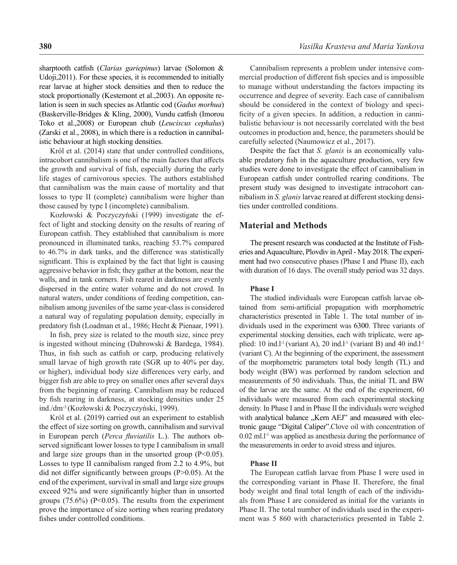sharptooth catfish (*Clarias gariepinus*) larvae (Solomon & Udoji,2011). For these species, it is recommended to initially rear larvae at higher stock densities and then to reduce the stock proportionally (Kestemont et al.,2003). An opposite relation is seen in such species as Atlantic cod (*Gadus morhua*) (Baskerville-Bridges & Kling, 2000), Vundu catfish (Imorou Toko et al.,2008) or European chub (*Leuciscus cephalus*) (Zarski et al., 2008), in which there is a reduction in cannibalistic behaviour at high stocking densities.

Król et al. (2014) state that under controlled conditions, intracohort cannibalism is one of the main factors that affects the growth and survival of fish, especially during the early life stages of carnivorous species. The authors established that cannibalism was the main cause of mortality and that losses to type II (complete) cannibalism were higher than those caused by type I (incomplete) cannibalism.

Kozłowski & Poczyczyński (1999) investigate the effect of light and stocking density on the results of rearing of European catfish. They established that cannibalism is more pronounced in illuminated tanks, reaching 53.7% compared to 46.7% in dark tanks, and the difference was statistically significant. This is explained by the fact that light is causing aggressive behavior in fish; they gather at the bottom, near the walls, and in tank corners. Fish reared in darkness are evenly dispersed in the entire water volume and do not crowd. In natural waters, under conditions of feeding competition, cannibalism among juveniles of the same year-class is considered a natural way of regulating population density, especially in predatory fish (Loadman et al., 1986; Hecht & Pienaar, 1991).

In fish, prey size is related to the mouth size, since prey is ingested without mincing (Dabrowski & Bardega, 1984). Thus, in fish such as catfish or carp, producing relatively small larvae of high growth rate (SGR up to 40% per day, or higher), individual body size differences very early, and bigger fish are able to prey on smaller ones after several days from the beginning of rearing. Cannibalism may be reduced by fish rearing in darkness, at stocking densities under 25 ind./dm-3 (Kozłowski & Poczyczyński, 1999).

Król et al. (2019) carried out an experiment to establish the effect of size sorting on growth, cannibalism and survival in European perch (*Perca fluviatilis* L.). The authors observed significant lower losses to type I cannibalism in small and large size groups than in the unsorted group  $(P<0.05)$ . Losses to type II cannibalism ranged from 2.2 to 4.9%, but did not differ significantly between groups (P>0.05). At the end of the experiment, survival in small and large size groups exceed 92% and were significantly higher than in unsorted groups  $(75.6\%)$  (P<0.05). The results from the experiment prove the importance of size sorting when rearing predatory fishes under controlled conditions.

Cannibalism represents a problem under intensive commercial production of different fish species and is impossible to manage without understanding the factors impacting its occurrence and degree of severity. Each case of cannibalism should be considered in the context of biology and specificity of a given species. In addition, a reduction in cannibalistic behaviour is not necessarily correlated with the best outcomes in production and, hence, the parameters should be carefully selected (Naumowicz et al., 2017).

Despite the fact that *S. glanis* is an economically valuable predatory fish in the aquaculture production, very few studies were done to investigate the effect of cannibalism in European catfish under controlled rearing conditions. The present study was designed to investigate intracohort cannibalism in *S. glanis* larvae reared at different stocking densities under controlled conditions.

## **Material and Methods**

The present research was conducted at the Institute of Fisheries and Aquaculture, Plovdiv in April - May 2018. The experiment had two consecutive phases (Phase I and Phase II), each with duration of 16 days. The overall study period was 32 days.

#### **Phase I**

The studied individuals were European catfish larvae obtained from semi-artificial propagation with morphometric characteristics presented in Table 1. The total number of individuals used in the experiment was 6300. Three variants of experimental stocking densities, each with triplicate, were applied: 10 ind.l<sup>-1</sup> (variant A), 20 ind.l<sup>-1</sup> (variant B) and 40 ind.l<sup>-1</sup> (variant C). At the beginning of the experiment, the assessment of the morphometric parameters total body length (TL) and body weight (BW) was performed by random selection and measurements of 50 individuals. Thus, the initial TL and BW of the larvae are the same. At the end of the experiment, 60 individuals were measured from each experimental stocking density. In Phase I and in Phase II the individuals were weighed with analytical balance "Kern AEJ" and measured with electronic gauge "Digital Caliper".Clove oil with concentration of  $0.02$  ml.<sup>1-1</sup> was applied as anesthesia during the performance of the measurements in order to avoid stress and injures.

#### **Phase II**

The European catfish larvae from Phase I were used in the corresponding variant in Phase II. Therefore, the final body weight and final total length of each of the individuals from Phase I are considered as initial for the variants in Phase II. The total number of individuals used in the experiment was 5 860 with characteristics presented in Table 2.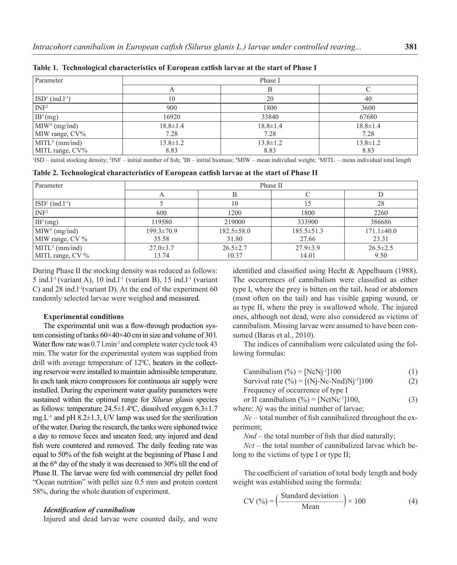| Parameter                     | Phase I        |                |                |  |
|-------------------------------|----------------|----------------|----------------|--|
|                               | A              | В              |                |  |
| $ISD1$ (ind.l <sup>-1</sup> ) | 10             | 20             | 40             |  |
| INF <sup>2</sup>              | 900            | 1800           | 3600           |  |
| IB <sup>3</sup> (mg)          | 16920          | 33840          | 67680          |  |
| M I W <sup>4</sup> (mg/ind)   | $18.8 \pm 1.4$ | $18.8 \pm 1.4$ | $18.8 \pm 1.4$ |  |
| MIW range, CV%                | 7.28           | 7.28           | 7.28           |  |
| $MTL5$ (mm/ind)               | $13.8 \pm 1.2$ | $13.8 \pm 1.2$ | $13.8 \pm 1.2$ |  |
| MITL range, CV%               | 8.83           | 8.83           | 8.83           |  |

**Table 1. Technological characteristics of European catfish larvae at the start of Phase I**

<sup>1</sup>ISD – initial stocking density; <sup>2</sup>INF – initial number of fish; <sup>3</sup>IB – initial biomass; <sup>4</sup>MIW – mean individual weight; <sup>5</sup>MITL – mean individual total length

**Table 2. Technological characteristics of European catfish larvae at the start of Phase II**

| Parameter                  | Phase II         |                  |                  |                  |  |
|----------------------------|------------------|------------------|------------------|------------------|--|
|                            | $\Delta$         |                  |                  |                  |  |
| $ISD1$ (ind. $l-1$ )       |                  | 10               |                  | 28               |  |
| INF <sup>2</sup>           | 600              | 1200             | 1800             | 2260             |  |
| IB <sup>3</sup> (mg)       | 119580           | 219000           | 333900           | 386686           |  |
| MIW <sup>4</sup> (mg/ind)  | $199.3 \pm 70.9$ | $182.5 \pm 58.0$ | $185.5 \pm 51.3$ | $171.1 \pm 40.0$ |  |
| MIW range, $CV\%$          | 35.58            | 31.80            | 27.66            | 23.31            |  |
| MITL <sup>5</sup> (mm/ind) | $27.0 \pm 3.7$   | $26.5 \pm 2.7$   | $27.9 \pm 3.9$   | $26.5 \pm 2.5$   |  |
| MITL range, $CV\%$         | 13.74            | 10.37            | 14.01            | 9.50             |  |

During Phase II the stocking density was reduced as follows: 5 ind.l<sup>-1</sup> (variant A), 10 ind.l<sup>-1</sup> (variant B), 15 ind.l<sup>-1</sup> (variant C) and 28 ind.l<sup>-1</sup>(variant D). At the end of the experiment 60 randomly selected larvae were weighed and measured.

#### **Experimental conditions**

The experimental unit was a flow-through production system consisting of tanks  $60\times40\times40$  cm in size and volume of 30 l. Water flow rate was 0.7 l.min<sup>-1</sup> and complete water cycle took 43 min. The water for the experimental system was supplied from drill with average temperature of 12ºC, heaters in the collecting reservoir were installed to maintain admissible temperature. In each tank micro compressors for continuous air supply were installed. During the experiment water quality parameters were sustained within the optimal range for *Silurus glanis* species as follows: temperature 24.5±1.4ºС, dissolved oxygen 6.3±1.7 mg.L<sup>-1</sup> and pH 8.2 $\pm$ 1.3, UV lamp was used for the sterilization of the water. During the research, the tanks were siphoned twice a day to remove feces and uneaten feed; any injured and dead fish were countered and removed. The daily feeding rate was equal to 50% of the fish weight at the beginning of Phase I and at the  $6<sup>th</sup>$  day of the study it was decreased to 30% till the end of Phase II. The larvae were fed with commercial dry pellet food "Ocean nutrition" with pellet size 0.5 mm and protein content 58%, during the whole duration of experiment.

## *Identification of cannibalism*

Injured and dead larvae were counted daily, and were

identified and classified using Hecht & Appelbaum (1988). The occurrences of cannibalism were classified as either type I, where the prey is bitten on the tail, head or abdomen (most often on the tail) and has visible gaping wound, or as type II, where the prey is swallowed whole. The injured ones, although not dead, were also considered as victims of cannibalism. Missing larvae were assumed to have been consumed (Baras et al., 2010).

The indices of cannibalism were calculated using the following formulas:

|  |  | Cannibalism $(\% ) = [NcNj^{-1}]100$ | (1) |
|--|--|--------------------------------------|-----|
|--|--|--------------------------------------|-----|

Survival rate  $(\% ) = [(Nj-Nc-Nnd)Nj^{-1}]100$  (2)

Frequency of occurrence of type I

or II cannibalism  $(\% ) = [NetNe^{-1}]100,$  (3) where: *Ni* was the initial number of larvae:

*Nc* – total number of fish cannibalized throughout the experiment;

*Nnd –* the total number of fish that died naturally;

*Nct* – the total number of cannibalized larvae which belong to the victims of type I or type II;

The coefficient of variation of total body length and body weight was established using the formula:

$$
CV(%) = \left(\frac{\text{Standard deviation}}{\text{Mean}}\right) \times 100\tag{4}
$$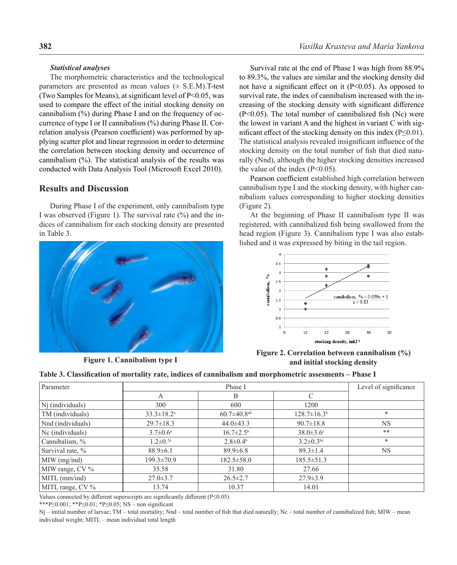#### *Statistical analyses*

The morphometric characteristics and the technological parameters are presented as mean values  $(\pm$  S.E.M).T-test (Two Samples for Means), at significant level of  $P<0.05$ , was used to compare the effect of the initial stocking density on cannibalism (%) during Phase I and on the frequency of occurrence of type I or II cannibalism (%) during Phase II. Correlation analysis (Pearson coefficient) was performed by applying scatter plot and linear regression in order to determine the correlation between stocking density and occurrence of cannibalism (%). The statistical analysis of the results was conducted with Data Analysis Tool (Microsoft Excel 2010).

# **Results and Discussion**

During Phase I of the experiment, only cannibalism type I was observed (Figure 1). The survival rate (%) and the indices of cannibalism for each stocking density are presented in Table 3.



**Figure 1. Cannibalism type I**

Survival rate at the end of Phase I was high from 88.9% to 89.3%, the values are similar and the stocking density did not have a significant effect on it  $(P<0.05)$ . As opposed to survival rate, the index of cannibalism increased with the increasing of the stocking density with significant difference (P<0.05). The total number of cannibalized fish (Nc) were the lowest in variant A and the highest in variant C with significant effect of the stocking density on this index (P≤0.01). The statistical analysis revealed insignificant influence of the stocking density on the total number of fish that died naturally (Nnd), although the higher stocking densities increased the value of the index  $(P<0.05)$ .

Pearson coefficient established high correlation between cannibalism type I and the stocking density, with higher cannibalism values corresponding to higher stocking densities (Figure 2).

At the beginning of Phase II cannibalism type II was registered, with cannibalized fish being swallowed from the head region (Figure 3). Cannibalism type I was also established and it was expressed by biting in the tail region.



**Figure 2. Correlation between cannibalism (%) and initial stocking density**

|  |  |  |  |  | Table 3. Classification of mortality rate, indices of cannibalism and morphometric assesments – Phase I |
|--|--|--|--|--|---------------------------------------------------------------------------------------------------------|
|--|--|--|--|--|---------------------------------------------------------------------------------------------------------|

| Parameter         |                              | Level of significance         |                             |           |
|-------------------|------------------------------|-------------------------------|-----------------------------|-----------|
|                   | A                            | B                             |                             |           |
| Nj (individuals)  | 300                          | 600                           | 1200                        |           |
| TM (individuals)  | $33.3 \pm 18.2$ <sup>a</sup> | $60.7 \pm 40.8$ <sup>ab</sup> | $128.7 \pm 16.3^{\circ}$    | $\ast$    |
| Nnd (individuals) | $29.7 \pm 18.3$              | $44.0 \pm 43.3$               | $90.7 \pm 18.8$             | <b>NS</b> |
| Nc (individuals)  | $3.7 \pm 0.6^{\circ}$        | $16.7 \pm 2.5^{\rm b}$        | $38.0 \pm 3.6$ <sup>c</sup> | **        |
| Cannibalism, %    | $1.2 \pm 0.2a$               | $2.8 \pm 0.4^{\circ}$         | $3.2 \pm 0.3^{\rm bc}$      | *         |
| Survival rate, %  | $88.9 \pm 6.1$               | $89.9 \pm 6.8$                | $89.3 \pm 1.4$              | <b>NS</b> |
| $MIW$ (mg/ind)    | $199.3 \pm 70.9$             | $182.5 \pm 58.0$              | $185.5 \pm 51.3$            |           |
| MIW range, CV %   | 35.58                        | 31.80                         | 27.66                       |           |
| $MITL$ (mm/ind)   | $27.0 \pm 3.7$               | $26.5 \pm 2.7$                | $27.9 \pm 3.9$              |           |
| MITL range, CV %  | 13.74                        | 10.37                         | 14.01                       |           |

Values connected by different superscripts are significantly different ( $P \le 0.05$ )

\*\*\*P≤0.001; \*\*P≤0.01; \*P≤0.05; NS – non significant

Nj – initial number of larvae; TM – total mortality; Nnd – total number of fish that died naturally; Nc – total number of cannibalized fish; MIW – mean individual weight; MITL – mean individual total length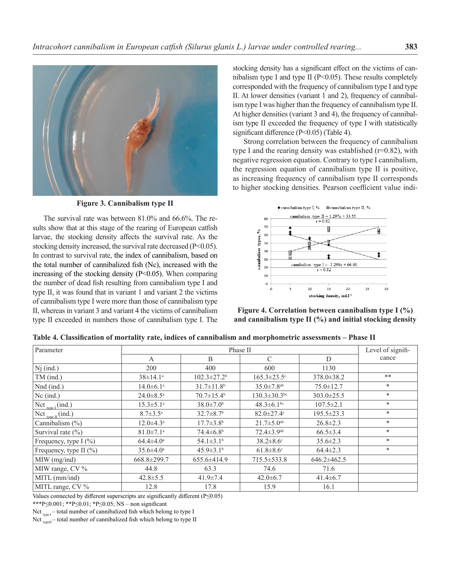

**Figure 3. Cannibalism type II**

The survival rate was between 81.0% and 66.6%. The results show that at this stage of the rearing of European catfish larvae, the stocking density affects the survival rate. As the stocking density increased, the survival rate decreased (P<0.05). In contrast to survival rate, the index of cannibalism, based on the total number of cannibalized fish (Nc), increased with the increasing of the stocking density (P<0.05). When comparing the number of dead fish resulting from cannibalism type I and type II, it was found that in variant 1 and variant 2 the victims of cannibalism type I were more than those of cannibalism type II, whereas in variant 3 and variant 4 the victims of cannibalism type II exceeded in numbers those of cannibalism type I. The

stocking density has a significant effect on the victims of cannibalism type I and type II ( $P \le 0.05$ ). These results completely corresponded with the frequency of cannibalism type I and type II. At lower densities (variant 1 and 2), frequency of cannibalism type I was higher than the frequency of cannibalism type II. At higher densities (variant 3 and 4), the frequency of cannibalism type II exceeded the frequency of type I with statistically significant difference (P<0.05) (Table 4).

Strong correlation between the frequency of cannibalism type I and the rearing density was established  $(r=0.82)$ , with negative regression equation. Contrary to type I cannibalism, the regression equation of cannibalism type II is positive, as increasing frequency of cannibalism type II corresponds to higher stocking densities. Pearson coefficient value indi-



**Figure 4. Correlation between cannibalism type I (%) and cannibalism type II (%) and initial stocking density**

**Table 4. Classification of mortality rate, indices of cannibalism and morphometric assessments – Phase II**

| Parameter                  | Phase II                    |                               |                              |                  | Level of signifi- |
|----------------------------|-----------------------------|-------------------------------|------------------------------|------------------|-------------------|
|                            | A                           | B                             | C                            | D                | cance             |
| $Nj$ (ind.)                | 200                         | 400                           | 600                          | 1130             |                   |
| TM (ind.)                  | $38 \pm 14.1^a$             | $102.3 \pm 27.2$ <sup>b</sup> | $165.3 \pm 23.5$ °           | $378.0 \pm 38.2$ | **                |
| Nnd (ind.)                 | $14.0 \pm 6.1^{\text{a}}$   | $31.7 \pm 11.8$ <sup>b</sup>  | $35.0 \pm 7.8$ <sup>ab</sup> | $75.0 \pm 12.7$  | $*$               |
| $Nc$ (ind.)                | $24.0 \pm 8.5$ <sup>a</sup> | $70.7 \pm 15.4$ <sup>b</sup>  | $130.3 \pm 30.3$ bc          | $303.0 \pm 25.5$ | $*$               |
| $Net_{type I} (ind.)$      | $15.3 \pm 5.1^{\circ}$      | $38.0 \pm 7.0^{\circ}$        | $48.3 \pm 6.1^{\rm bc}$      | $107.5 \pm 2.1$  | $*$               |
| Nct $_{type II}$ (ind.)    | $8.7 \pm 3.5^{\mathrm{a}}$  | $32.7 \pm 8.7$ <sup>b</sup>   | $82.0 \pm 27.4$ °            | $195.5 \pm 23.3$ | $\ast$            |
| Cannibalism $(\%)$         | $12.0 \pm 4.3^{\text{a}}$   | $17.7 \pm 3.8^{\circ}$        | $21.7 \pm 5.0$ <sup>ab</sup> | $26.8 \pm 2.3$   | $*$               |
| Survival rate $(\% )$      | $81.0 \pm 7.1$ <sup>a</sup> | $74.4 \pm 6.8^{\circ}$        | $72.4 \pm 3.9$ <sup>ab</sup> | $66.5 \pm 3.4$   | $*$               |
| Frequency, type $I(\%)$    | $64.4 \pm 4.0^{\circ}$      | $54.1 \pm 3.1^{\circ}$        | $38.2 \pm 8.6$ °             | $35.6 \pm 2.3$   | $*$               |
| Frequency, type II $(\% )$ | $35.6 \pm 4.0^{\circ}$      | $45.9 \pm 3.1^{\circ}$        | $61.8 \pm 8.6$ <sup>c</sup>  | $64.4 \pm 2.3$   | $\ast$            |
| $MIW$ (mg/ind)             | 668.8±299.7                 | $655.6\pm414.9$               | 715.5 ± 533.8                | $646.2\pm462.5$  |                   |
| MIW range, CV %            | 44.8                        | 63.3                          | 74.6                         | 71.6             |                   |
| $MITL$ (mm/ind)            | $42.8 \pm 5.5$              | $41.9 \pm 7.4$                | $42.0 \pm 6.7$               | $41.4 \pm 6.7$   |                   |
| MITL range, CV %           | 12.8                        | 17.8                          | 15.9                         | 16.1             |                   |

Values connected by different superscripts are significantly different (P≤0.05)

\*\*\*P≤0.001; \*\*P≤0.01; \*P≤0.05; NS – non significant

Nct  $_{\text{true I}}$  – total number of cannibalized fish which belong to type I

Nct  $\frac{1}{\text{typell}}$  – total number of cannibalized fish which belong to type II